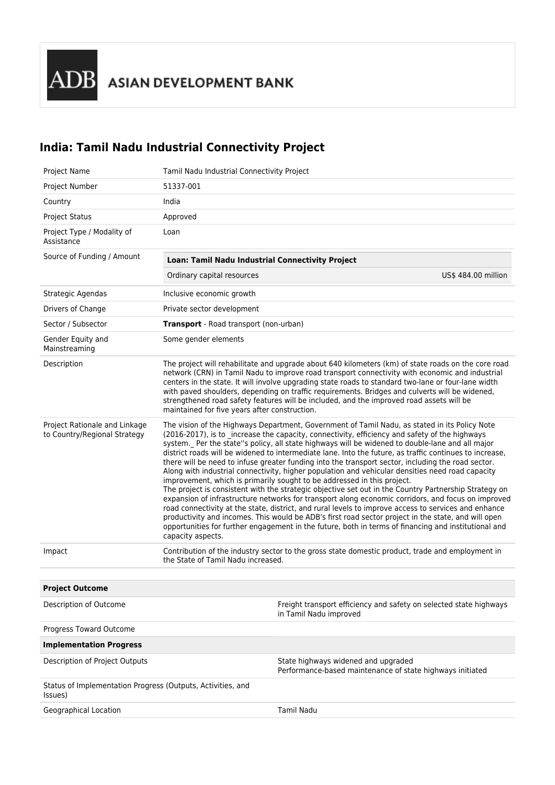## **India: Tamil Nadu Industrial Connectivity Project**

| <b>Project Name</b>                                                    | Tamil Nadu Industrial Connectivity Project                                                                                                                                                                                                                                                                                                                                                                                                                                                                                                                                                                                                                                                                                                                                                                                                                                                                                                                                                                                                                                                                                                                                                                                                                    |                                                                                                  |  |
|------------------------------------------------------------------------|---------------------------------------------------------------------------------------------------------------------------------------------------------------------------------------------------------------------------------------------------------------------------------------------------------------------------------------------------------------------------------------------------------------------------------------------------------------------------------------------------------------------------------------------------------------------------------------------------------------------------------------------------------------------------------------------------------------------------------------------------------------------------------------------------------------------------------------------------------------------------------------------------------------------------------------------------------------------------------------------------------------------------------------------------------------------------------------------------------------------------------------------------------------------------------------------------------------------------------------------------------------|--------------------------------------------------------------------------------------------------|--|
| Project Number                                                         | 51337-001                                                                                                                                                                                                                                                                                                                                                                                                                                                                                                                                                                                                                                                                                                                                                                                                                                                                                                                                                                                                                                                                                                                                                                                                                                                     |                                                                                                  |  |
| Country                                                                | India                                                                                                                                                                                                                                                                                                                                                                                                                                                                                                                                                                                                                                                                                                                                                                                                                                                                                                                                                                                                                                                                                                                                                                                                                                                         |                                                                                                  |  |
| <b>Project Status</b>                                                  | Approved                                                                                                                                                                                                                                                                                                                                                                                                                                                                                                                                                                                                                                                                                                                                                                                                                                                                                                                                                                                                                                                                                                                                                                                                                                                      |                                                                                                  |  |
| Project Type / Modality of<br>Assistance                               | Loan                                                                                                                                                                                                                                                                                                                                                                                                                                                                                                                                                                                                                                                                                                                                                                                                                                                                                                                                                                                                                                                                                                                                                                                                                                                          |                                                                                                  |  |
| Source of Funding / Amount                                             | Loan: Tamil Nadu Industrial Connectivity Project                                                                                                                                                                                                                                                                                                                                                                                                                                                                                                                                                                                                                                                                                                                                                                                                                                                                                                                                                                                                                                                                                                                                                                                                              |                                                                                                  |  |
|                                                                        | Ordinary capital resources                                                                                                                                                                                                                                                                                                                                                                                                                                                                                                                                                                                                                                                                                                                                                                                                                                                                                                                                                                                                                                                                                                                                                                                                                                    | US\$ 484.00 million                                                                              |  |
| Strategic Agendas                                                      | Inclusive economic growth                                                                                                                                                                                                                                                                                                                                                                                                                                                                                                                                                                                                                                                                                                                                                                                                                                                                                                                                                                                                                                                                                                                                                                                                                                     |                                                                                                  |  |
| Drivers of Change                                                      | Private sector development                                                                                                                                                                                                                                                                                                                                                                                                                                                                                                                                                                                                                                                                                                                                                                                                                                                                                                                                                                                                                                                                                                                                                                                                                                    |                                                                                                  |  |
| Sector / Subsector                                                     | <b>Transport</b> - Road transport (non-urban)                                                                                                                                                                                                                                                                                                                                                                                                                                                                                                                                                                                                                                                                                                                                                                                                                                                                                                                                                                                                                                                                                                                                                                                                                 |                                                                                                  |  |
| Gender Equity and<br>Mainstreaming                                     | Some gender elements                                                                                                                                                                                                                                                                                                                                                                                                                                                                                                                                                                                                                                                                                                                                                                                                                                                                                                                                                                                                                                                                                                                                                                                                                                          |                                                                                                  |  |
| Description                                                            | The project will rehabilitate and upgrade about 640 kilometers (km) of state roads on the core road<br>network (CRN) in Tamil Nadu to improve road transport connectivity with economic and industrial<br>centers in the state. It will involve upgrading state roads to standard two-lane or four-lane width<br>with paved shoulders, depending on traffic requirements. Bridges and culverts will be widened,<br>strengthened road safety features will be included, and the improved road assets will be<br>maintained for five years after construction.                                                                                                                                                                                                                                                                                                                                                                                                                                                                                                                                                                                                                                                                                                  |                                                                                                  |  |
| Project Rationale and Linkage<br>to Country/Regional Strategy          | The vision of the Highways Department, Government of Tamil Nadu, as stated in its Policy Note<br>(2016-2017), is to _increase the capacity, connectivity, efficiency and safety of the highways<br>system. Per the state"s policy, all state highways will be widened to double-lane and all major<br>district roads will be widened to intermediate lane. Into the future, as traffic continues to increase,<br>there will be need to infuse greater funding into the transport sector, including the road sector.<br>Along with industrial connectivity, higher population and vehicular densities need road capacity<br>improvement, which is primarily sought to be addressed in this project.<br>The project is consistent with the strategic objective set out in the Country Partnership Strategy on<br>expansion of infrastructure networks for transport along economic corridors, and focus on improved<br>road connectivity at the state, district, and rural levels to improve access to services and enhance<br>productivity and incomes. This would be ADB's first road sector project in the state, and will open<br>opportunities for further engagement in the future, both in terms of financing and institutional and<br>capacity aspects. |                                                                                                  |  |
| Impact                                                                 | Contribution of the industry sector to the gross state domestic product, trade and employment in<br>the State of Tamil Nadu increased.                                                                                                                                                                                                                                                                                                                                                                                                                                                                                                                                                                                                                                                                                                                                                                                                                                                                                                                                                                                                                                                                                                                        |                                                                                                  |  |
| <b>Project Outcome</b>                                                 |                                                                                                                                                                                                                                                                                                                                                                                                                                                                                                                                                                                                                                                                                                                                                                                                                                                                                                                                                                                                                                                                                                                                                                                                                                                               |                                                                                                  |  |
| Description of Outcome                                                 |                                                                                                                                                                                                                                                                                                                                                                                                                                                                                                                                                                                                                                                                                                                                                                                                                                                                                                                                                                                                                                                                                                                                                                                                                                                               | Freight transport efficiency and safety on selected state highways<br>in Tamil Nadu improved     |  |
| Progress Toward Outcome                                                |                                                                                                                                                                                                                                                                                                                                                                                                                                                                                                                                                                                                                                                                                                                                                                                                                                                                                                                                                                                                                                                                                                                                                                                                                                                               |                                                                                                  |  |
| <b>Implementation Progress</b>                                         |                                                                                                                                                                                                                                                                                                                                                                                                                                                                                                                                                                                                                                                                                                                                                                                                                                                                                                                                                                                                                                                                                                                                                                                                                                                               |                                                                                                  |  |
| Description of Project Outputs                                         |                                                                                                                                                                                                                                                                                                                                                                                                                                                                                                                                                                                                                                                                                                                                                                                                                                                                                                                                                                                                                                                                                                                                                                                                                                                               | State highways widened and upgraded<br>Performance-based maintenance of state highways initiated |  |
| Status of Implementation Progress (Outputs, Activities, and<br>Issues) |                                                                                                                                                                                                                                                                                                                                                                                                                                                                                                                                                                                                                                                                                                                                                                                                                                                                                                                                                                                                                                                                                                                                                                                                                                                               |                                                                                                  |  |
| Geographical Location                                                  |                                                                                                                                                                                                                                                                                                                                                                                                                                                                                                                                                                                                                                                                                                                                                                                                                                                                                                                                                                                                                                                                                                                                                                                                                                                               | Tamil Nadu                                                                                       |  |
|                                                                        |                                                                                                                                                                                                                                                                                                                                                                                                                                                                                                                                                                                                                                                                                                                                                                                                                                                                                                                                                                                                                                                                                                                                                                                                                                                               |                                                                                                  |  |